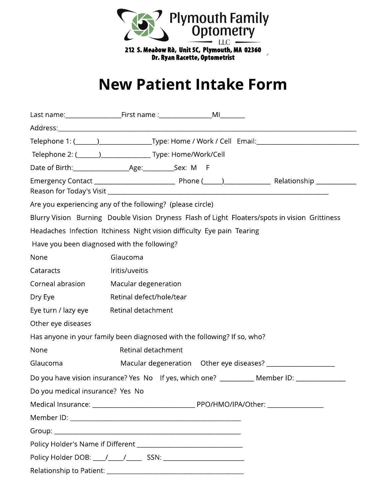

212 S. Meadow Rd, Unit 5C, Plymouth, MA 02360 Dr. Ryan Racette, Optometrist

## **New Patient Intake Form**

|                                                                          |                          |  |  | <u> 1989 - Johann Barn, mars an t-Amerikaansk politiker (* 1908)</u>                           |  |  |  |  |
|--------------------------------------------------------------------------|--------------------------|--|--|------------------------------------------------------------------------------------------------|--|--|--|--|
|                                                                          |                          |  |  | Telephone 1: (1992) 2022 [19] Type: Home / Work / Cell Email: 2023 2024 2024 2024              |  |  |  |  |
|                                                                          |                          |  |  |                                                                                                |  |  |  |  |
|                                                                          |                          |  |  |                                                                                                |  |  |  |  |
|                                                                          |                          |  |  |                                                                                                |  |  |  |  |
| Are you experiencing any of the following? (please circle)               |                          |  |  |                                                                                                |  |  |  |  |
|                                                                          |                          |  |  | Blurry Vision Burning Double Vision Dryness Flash of Light Floaters/spots in vision Grittiness |  |  |  |  |
| Headaches Infection Itchiness Night vision difficulty Eye pain Tearing   |                          |  |  |                                                                                                |  |  |  |  |
| Have you been diagnosed with the following?                              |                          |  |  |                                                                                                |  |  |  |  |
| None                                                                     | Glaucoma                 |  |  |                                                                                                |  |  |  |  |
| Cataracts                                                                | Iritis/uveitis           |  |  |                                                                                                |  |  |  |  |
| Corneal abrasion                                                         | Macular degeneration     |  |  |                                                                                                |  |  |  |  |
| Dry Eye                                                                  | Retinal defect/hole/tear |  |  |                                                                                                |  |  |  |  |
| Eye turn / lazy eye                                                      | Retinal detachment       |  |  |                                                                                                |  |  |  |  |
| Other eye diseases                                                       |                          |  |  |                                                                                                |  |  |  |  |
| Has anyone in your family been diagnosed with the following? If so, who? |                          |  |  |                                                                                                |  |  |  |  |
| None                                                                     | Retinal detachment       |  |  |                                                                                                |  |  |  |  |
| Glaucoma                                                                 |                          |  |  |                                                                                                |  |  |  |  |
|                                                                          |                          |  |  | Do you have vision insurance? Yes No If yes, which one? ___________ Member ID: _____________   |  |  |  |  |
| Do you medical insurance? Yes No                                         |                          |  |  |                                                                                                |  |  |  |  |
|                                                                          |                          |  |  |                                                                                                |  |  |  |  |
|                                                                          |                          |  |  |                                                                                                |  |  |  |  |
|                                                                          |                          |  |  |                                                                                                |  |  |  |  |
|                                                                          |                          |  |  |                                                                                                |  |  |  |  |
|                                                                          |                          |  |  |                                                                                                |  |  |  |  |
|                                                                          |                          |  |  |                                                                                                |  |  |  |  |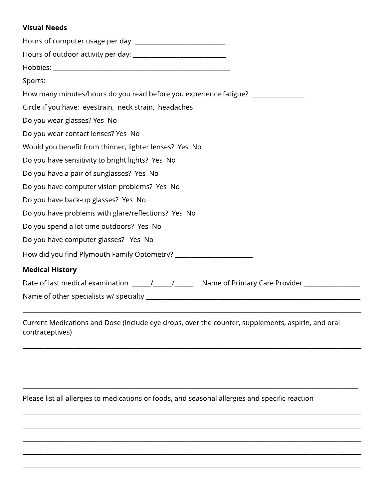## Visual Needs

| How many minutes/hours do you read before you experience fatigue?: _____________ |  |  |  |  |
|----------------------------------------------------------------------------------|--|--|--|--|
| Circle if you have: eyestrain, neck strain, headaches                            |  |  |  |  |
| Do you wear glasses? Yes No                                                      |  |  |  |  |
| Do you wear contact lenses? Yes No                                               |  |  |  |  |
| Would you benefit from thinner, lighter lenses? Yes No                           |  |  |  |  |
| Do you have sensitivity to bright lights? Yes No                                 |  |  |  |  |
| Do you have a pair of sunglasses? Yes No                                         |  |  |  |  |
| Do you have computer vision problems? Yes No                                     |  |  |  |  |
| Do you have back-up glasses? Yes No                                              |  |  |  |  |
| Do you have problems with glare/reflections? Yes No                              |  |  |  |  |
| Do you spend a lot time outdoors? Yes No                                         |  |  |  |  |
| Do you have computer glasses? Yes No                                             |  |  |  |  |
|                                                                                  |  |  |  |  |
| <b>Medical History</b>                                                           |  |  |  |  |
|                                                                                  |  |  |  |  |
|                                                                                  |  |  |  |  |

Current Medications and Dose (include eye drops, over the counter, supplements, aspirin, and oral contraceptives)

\_\_\_\_\_\_\_\_\_\_\_\_\_\_\_\_\_\_\_\_\_\_\_\_\_\_\_\_\_\_\_\_\_\_\_\_\_\_\_\_\_\_\_\_\_\_\_\_\_\_\_\_\_\_\_\_\_\_\_\_\_\_\_\_\_\_\_\_\_\_\_\_\_\_\_\_\_\_\_\_\_\_\_\_\_\_\_\_\_\_\_\_\_\_\_\_\_\_\_\_\_\_\_\_\_\_\_\_\_

 $\_$  ,  $\_$  ,  $\_$  ,  $\_$  ,  $\_$  ,  $\_$  ,  $\_$  ,  $\_$  ,  $\_$  ,  $\_$  ,  $\_$  ,  $\_$  ,  $\_$  ,  $\_$  ,  $\_$  ,  $\_$  ,  $\_$  ,  $\_$  ,  $\_$  ,  $\_$  ,  $\_$  ,  $\_$  ,  $\_$  ,  $\_$  ,  $\_$  ,  $\_$  ,  $\_$  ,  $\_$  ,  $\_$  ,  $\_$  ,  $\_$  ,  $\_$  ,  $\_$  ,  $\_$  ,  $\_$  ,  $\_$  ,  $\_$  ,

 $\_$  ,  $\_$  ,  $\_$  ,  $\_$  ,  $\_$  ,  $\_$  ,  $\_$  ,  $\_$  ,  $\_$  ,  $\_$  ,  $\_$  ,  $\_$  ,  $\_$  ,  $\_$  ,  $\_$  ,  $\_$  ,  $\_$  ,  $\_$  ,  $\_$  ,  $\_$  ,  $\_$  ,  $\_$  ,  $\_$  ,  $\_$  ,  $\_$  ,  $\_$  ,  $\_$  ,  $\_$  ,  $\_$  ,  $\_$  ,  $\_$  ,  $\_$  ,  $\_$  ,  $\_$  ,  $\_$  ,  $\_$  ,  $\_$  ,

\_\_\_\_\_\_\_\_\_\_\_\_\_\_\_\_\_\_\_\_\_\_\_\_\_\_\_\_\_\_\_\_\_\_\_\_\_\_\_\_\_\_\_\_\_\_\_\_\_\_\_\_\_\_\_\_\_\_\_\_\_\_\_\_\_\_\_\_\_\_\_\_\_\_\_\_\_\_\_\_\_\_\_\_\_\_\_\_\_\_\_\_\_\_\_\_\_\_\_\_\_\_\_\_\_\_\_\_\_

\_\_\_\_\_\_\_\_\_\_\_\_\_\_\_\_\_\_\_\_\_\_\_\_\_\_\_\_\_\_\_\_\_\_\_\_\_\_\_\_\_\_\_\_\_\_\_\_\_\_\_\_\_\_\_\_\_\_\_\_\_\_\_\_\_\_\_\_\_\_\_\_\_\_\_\_\_\_\_\_\_\_\_\_\_\_\_\_\_\_\_\_\_\_\_\_\_\_\_\_\_\_\_\_\_\_\_\_

\_\_\_\_\_\_\_\_\_\_\_\_\_\_\_\_\_\_\_\_\_\_\_\_\_\_\_\_\_\_\_\_\_\_\_\_\_\_\_\_\_\_\_\_\_\_\_\_\_\_\_\_\_\_\_\_\_\_\_\_\_\_\_\_\_\_\_\_\_\_\_\_\_\_\_\_\_\_\_\_\_\_\_\_\_\_\_\_\_\_\_\_\_\_\_\_\_\_\_\_\_\_\_\_\_\_\_\_\_

\_\_\_\_\_\_\_\_\_\_\_\_\_\_\_\_\_\_\_\_\_\_\_\_\_\_\_\_\_\_\_\_\_\_\_\_\_\_\_\_\_\_\_\_\_\_\_\_\_\_\_\_\_\_\_\_\_\_\_\_\_\_\_\_\_\_\_\_\_\_\_\_\_\_\_\_\_\_\_\_\_\_\_\_\_\_\_\_\_\_\_\_\_\_\_\_\_\_\_\_\_\_\_\_\_\_\_\_\_

\_\_\_\_\_\_\_\_\_\_\_\_\_\_\_\_\_\_\_\_\_\_\_\_\_\_\_\_\_\_\_\_\_\_\_\_\_\_\_\_\_\_\_\_\_\_\_\_\_\_\_\_\_\_\_\_\_\_\_\_\_\_\_\_\_\_\_\_\_\_\_\_\_\_\_\_\_\_\_\_\_\_\_\_\_\_\_\_\_\_\_\_\_\_\_\_\_\_\_\_\_\_\_\_\_\_\_\_\_

\_\_\_\_\_\_\_\_\_\_\_\_\_\_\_\_\_\_\_\_\_\_\_\_\_\_\_\_\_\_\_\_\_\_\_\_\_\_\_\_\_\_\_\_\_\_\_\_\_\_\_\_\_\_\_\_\_\_\_\_\_\_\_\_\_\_\_\_\_\_\_\_\_\_\_\_\_\_\_\_\_\_\_\_\_\_\_\_\_\_\_\_\_\_\_\_\_\_\_\_\_\_\_\_\_\_\_\_\_

\_\_\_\_\_\_\_\_\_\_\_\_\_\_\_\_\_\_\_\_\_\_\_\_\_\_\_\_\_\_\_\_\_\_\_\_\_\_\_\_\_\_\_\_\_\_\_\_\_\_\_\_\_\_\_\_\_\_\_\_\_\_\_\_\_\_\_\_\_\_\_\_\_\_\_\_\_\_\_\_\_\_\_\_\_\_\_\_\_\_\_\_\_\_\_\_\_\_\_\_\_\_\_\_\_\_\_\_\_

Please list all allergies to medications or foods, and seasonal allergies and specific reaction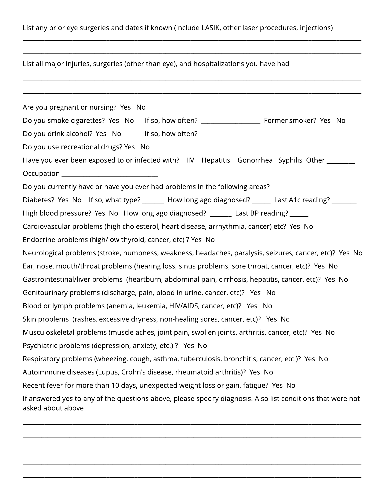List any prior eye surgeries and dates if known (include LASIK, other laser procedures, injections)

\_\_\_\_\_\_\_\_\_\_\_\_\_\_\_\_\_\_\_\_\_\_\_\_\_\_\_\_\_\_\_\_\_\_\_\_\_\_\_\_\_\_\_\_\_\_\_\_\_\_\_\_\_\_\_\_\_\_\_\_\_\_\_\_\_\_\_\_\_\_\_\_\_\_\_\_\_\_\_\_\_\_\_\_\_\_\_\_\_\_\_\_\_\_\_\_\_\_\_\_\_\_\_\_\_\_\_\_\_

\_\_\_\_\_\_\_\_\_\_\_\_\_\_\_\_\_\_\_\_\_\_\_\_\_\_\_\_\_\_\_\_\_\_\_\_\_\_\_\_\_\_\_\_\_\_\_\_\_\_\_\_\_\_\_\_\_\_\_\_\_\_\_\_\_\_\_\_\_\_\_\_\_\_\_\_\_\_\_\_\_\_\_\_\_\_\_\_\_\_\_\_\_\_\_\_\_\_\_\_\_\_\_\_\_\_\_\_\_

 $\_$  ,  $\_$  ,  $\_$  ,  $\_$  ,  $\_$  ,  $\_$  ,  $\_$  ,  $\_$  ,  $\_$  ,  $\_$  ,  $\_$  ,  $\_$  ,  $\_$  ,  $\_$  ,  $\_$  ,  $\_$  ,  $\_$  ,  $\_$  ,  $\_$  ,  $\_$  ,  $\_$  ,  $\_$  ,  $\_$  ,  $\_$  ,  $\_$  ,  $\_$  ,  $\_$  ,  $\_$  ,  $\_$  ,  $\_$  ,  $\_$  ,  $\_$  ,  $\_$  ,  $\_$  ,  $\_$  ,  $\_$  ,  $\_$  ,

 $\_$  ,  $\_$  ,  $\_$  ,  $\_$  ,  $\_$  ,  $\_$  ,  $\_$  ,  $\_$  ,  $\_$  ,  $\_$  ,  $\_$  ,  $\_$  ,  $\_$  ,  $\_$  ,  $\_$  ,  $\_$  ,  $\_$  ,  $\_$  ,  $\_$  ,  $\_$  ,  $\_$  ,  $\_$  ,  $\_$  ,  $\_$  ,  $\_$  ,  $\_$  ,  $\_$  ,  $\_$  ,  $\_$  ,  $\_$  ,  $\_$  ,  $\_$  ,  $\_$  ,  $\_$  ,  $\_$  ,  $\_$  ,  $\_$  ,

List all major injuries, surgeries (other than eye), and hospitalizations you have had

Are you pregnant or nursing? Yes No Do you smoke cigarettes? Yes No If so, how often? \_\_\_\_\_\_\_\_\_\_\_\_\_\_\_\_\_\_\_\_\_\_\_\_\_\_\_\_\_\_\_ Former smoker? Yes No Do you drink alcohol? Yes No If so, how often? Do you use recreational drugs? Yes No Have you ever been exposed to or infected with? HIV Hepatitis Gonorrhea Syphilis Other \_\_\_\_\_\_\_ Occupation \_\_\_\_\_\_\_\_\_\_\_\_\_\_\_\_\_\_\_\_\_\_\_\_\_\_\_\_\_\_\_ Do you currently have or have you ever had problems in the following areas? Diabetes? Yes No If so, what type? \_\_\_\_\_\_ How long ago diagnosed? \_\_\_\_\_ Last A1c reading? \_\_\_\_\_\_ High blood pressure? Yes No How long ago diagnosed? \_\_\_\_\_\_\_ Last BP reading? \_\_\_\_\_ Cardiovascular problems (high cholesterol, heart disease, arrhythmia, cancer) etc? Yes No Endocrine problems (high/low thyroid, cancer, etc) ? Yes No Neurological problems (stroke, numbness, weakness, headaches, paralysis, seizures, cancer, etc)? Yes No Ear, nose, mouth/throat problems (hearing loss, sinus problems, sore throat, cancer, etc)? Yes No Gastrointestinal/liver problems (heartburn, abdominal pain, cirrhosis, hepatitis, cancer, etc)? Yes No Genitourinary problems (discharge, pain, blood in urine, cancer, etc)? Yes No Blood or lymph problems (anemia, leukemia, HIV/AIDS, cancer, etc)? Yes No Skin problems (rashes, excessive dryness, non-healing sores, cancer, etc)? Yes No Musculoskeletal problems (muscle aches, joint pain, swollen joints, arthritis, cancer, etc)? Yes No Psychiatric problems (depression, anxiety, etc.) ? Yes No Respiratory problems (wheezing, cough, asthma, tuberculosis, bronchitis, cancer, etc.)? Yes No Autoimmune diseases (Lupus, Crohn's disease, rheumatoid arthritis)? Yes No Recent fever for more than 10 days, unexpected weight loss or gain, fatigue? Yes No If answered yes to any of the questions above, please specify diagnosis. Also list conditions that were not asked about above

\_\_\_\_\_\_\_\_\_\_\_\_\_\_\_\_\_\_\_\_\_\_\_\_\_\_\_\_\_\_\_\_\_\_\_\_\_\_\_\_\_\_\_\_\_\_\_\_\_\_\_\_\_\_\_\_\_\_\_\_\_\_\_\_\_\_\_\_\_\_\_\_\_\_\_\_\_\_\_\_\_\_\_\_\_\_\_\_\_\_\_\_\_\_\_\_\_\_\_\_\_\_\_\_\_\_\_\_\_

\_\_\_\_\_\_\_\_\_\_\_\_\_\_\_\_\_\_\_\_\_\_\_\_\_\_\_\_\_\_\_\_\_\_\_\_\_\_\_\_\_\_\_\_\_\_\_\_\_\_\_\_\_\_\_\_\_\_\_\_\_\_\_\_\_\_\_\_\_\_\_\_\_\_\_\_\_\_\_\_\_\_\_\_\_\_\_\_\_\_\_\_\_\_\_\_\_\_\_\_\_\_\_\_\_\_\_\_\_

\_\_\_\_\_\_\_\_\_\_\_\_\_\_\_\_\_\_\_\_\_\_\_\_\_\_\_\_\_\_\_\_\_\_\_\_\_\_\_\_\_\_\_\_\_\_\_\_\_\_\_\_\_\_\_\_\_\_\_\_\_\_\_\_\_\_\_\_\_\_\_\_\_\_\_\_\_\_\_\_\_\_\_\_\_\_\_\_\_\_\_\_\_\_\_\_\_\_\_\_\_\_\_\_\_\_\_\_\_

\_\_\_\_\_\_\_\_\_\_\_\_\_\_\_\_\_\_\_\_\_\_\_\_\_\_\_\_\_\_\_\_\_\_\_\_\_\_\_\_\_\_\_\_\_\_\_\_\_\_\_\_\_\_\_\_\_\_\_\_\_\_\_\_\_\_\_\_\_\_\_\_\_\_\_\_\_\_\_\_\_\_\_\_\_\_\_\_\_\_\_\_\_\_\_\_\_\_\_\_\_\_\_\_\_\_\_\_\_

\_\_\_\_\_\_\_\_\_\_\_\_\_\_\_\_\_\_\_\_\_\_\_\_\_\_\_\_\_\_\_\_\_\_\_\_\_\_\_\_\_\_\_\_\_\_\_\_\_\_\_\_\_\_\_\_\_\_\_\_\_\_\_\_\_\_\_\_\_\_\_\_\_\_\_\_\_\_\_\_\_\_\_\_\_\_\_\_\_\_\_\_\_\_\_\_\_\_\_\_\_\_\_\_\_\_\_\_\_